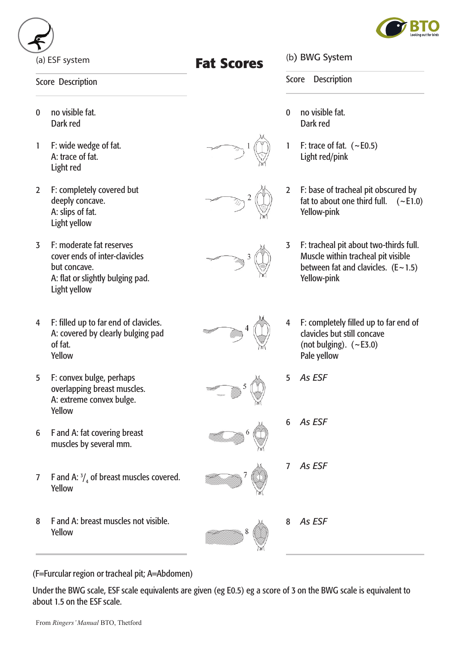

 

(a) ESF system

## Score Description

- 0 no visible fat. Dark red
- 1 F: wide wedge of fat. A: trace of fat. Light red
- 2 F: completely covered but deeply concave. A: slips of fat. Light yellow
- 3 F: moderate fat reserves cover ends of inter-clavicles but concave. A: flat or slightly bulging pad. Light yellow
- 4 F: filled up to far end of clavicles. A: covered by clearly bulging pad of fat. Yellow
- 5 F: convex bulge, perhaps overlapping breast muscles. A: extreme convex bulge. Yellow
- 6 F and A: fat covering breast muscles by several mm.
- 7 F and A:  $\frac{3}{4}$  of breast muscles covered. Yellow
- 8 F and A: breast muscles not visible. Yellow

(b) BWG System

Score Description

- 0 no visible fat. Dark red
- 1 F: trace of fat.  $(-E0.5)$  Light red/pink
- 2 F: base of tracheal pit obscured by fat to about one third full.  $(-E1.0)$  Yellow-pink
- 3 F: tracheal pit about two-thirds full. Muscle within tracheal pit visible between fat and clavicles.  $(E \sim 1.5)$  Yellow-pink
- F: completely filled up to far end of clavicles but still concave (not bulging).  $(-E3.0)$  Pale yellow
- 5 *As ESF*
- 6 *As ESF*
- 7 *As ESF*
- 8 *As ESF*

(F=Furcular region or tracheal pit; A=Abdomen)

Under the BWG scale, ESF scale equivalents are given (eg E0.5) eg a score of 3 on the BWG scale is equivalent to about 1.5 on the ESF scale.





**Fat Scores**